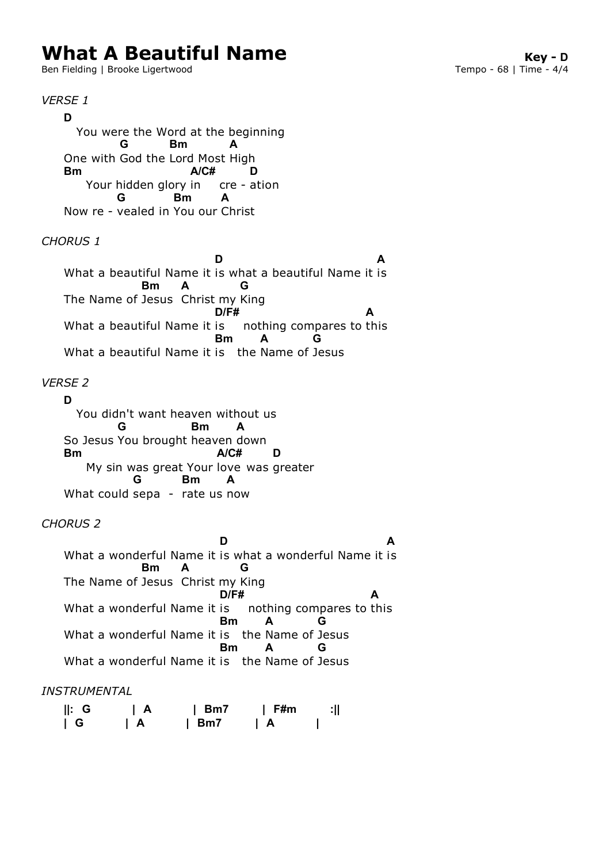# **What A Beautiful Name Key - D**<br>Ben Fielding | Brooke Ligertwood **Research A Control Control Control** Tempo - 68 | Time - 4/4

Ben Fielding | Brooke Ligertwood

*VERSE 1* You were the Word at the beginning One with God the Lord Most High Your hidden glory in cre - ation Now re - vealed in You our Christ *CHORUS 1* What a beautiful Name it is what a beautiful Name it is The Name of Jesus Christ my King What a beautiful Name it is conching compares to t What a beautiful Name it is the Name of Jesus *VERSE 2* You didn't want heaven without us So Jesus You brought heaven down My sin was great Your love was greater What could sepa - rate us now *CHORUS 2* What a wonderful Name it is what a wonderful Name it is The Name of Jesus Christ my King What a wonderful Name it is nothing compares to t What a wonderful Name it is the Name of Jesus What a wonderful Name it is the Name of Jesus **D G Bm A Bm A/C# D G Bm A D A Bm A G D/F#** nothing compares to this **A Bm A G D G Bm A Bm A/C# D G Bm A D A Bm A G D/F#** nothing compares to this **A Bm A G Bm A G**

## *INSTRUMENTAL*

| $\parallel$ : G | $\overline{A}$ | $l$ Bm7 | l F#m | зΠ |
|-----------------|----------------|---------|-------|----|
| $\mid$ G        | ΙA             | l Bm7   | I A   |    |